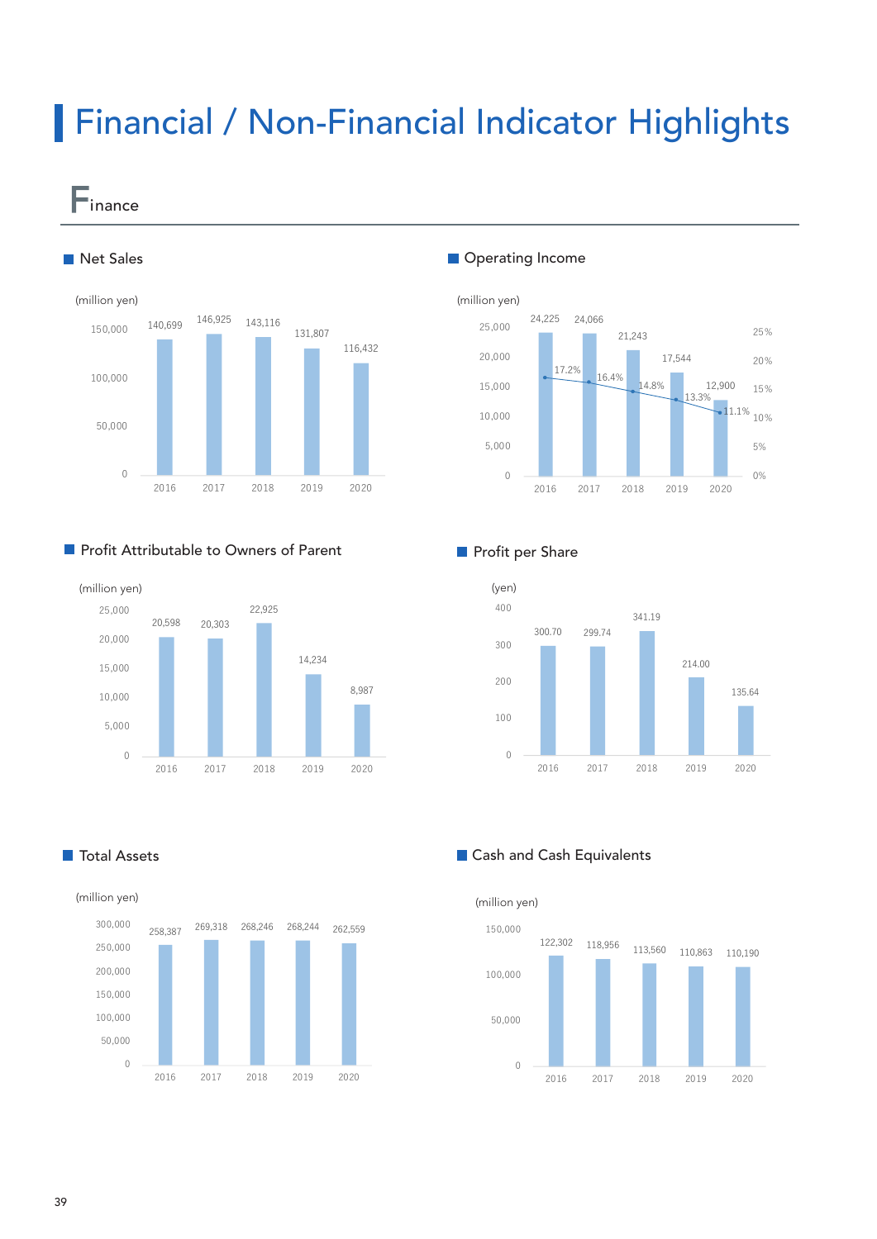# Financial / Non-Financial Indicator Highlights

—<br>■inance



# **Profit Attributable to Owners of Parent**



### **Operating Income**



### **Profit per Share**



**T** Total Assets



### **Cash and Cash Equivalents**